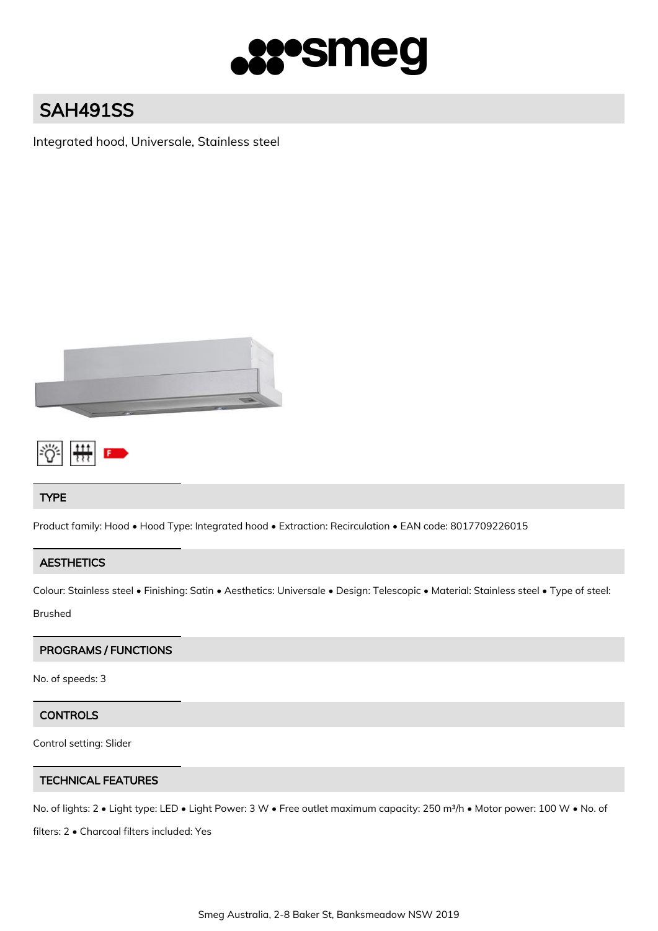

# SAH491SS

Integrated hood, Universale, Stainless steel





# TYPE

Product family: Hood • Hood Type: Integrated hood • Extraction: Recirculation • EAN code: 8017709226015

# **AESTHETICS**

Colour: Stainless steel • Finishing: Satin • Aesthetics: Universale • Design: Telescopic • Material: Stainless steel • Type of steel:

Brushed

# PROGRAMS / FUNCTIONS

No. of speeds: 3

# **CONTROLS**

Control setting: Slider

# TECHNICAL FEATURES

No. of lights: 2 • Light type: LED • Light Power: 3 W • Free outlet maximum capacity: 250 m<sup>3</sup>/h • Motor power: 100 W • No. of

filters: 2 • Charcoal filters included: Yes